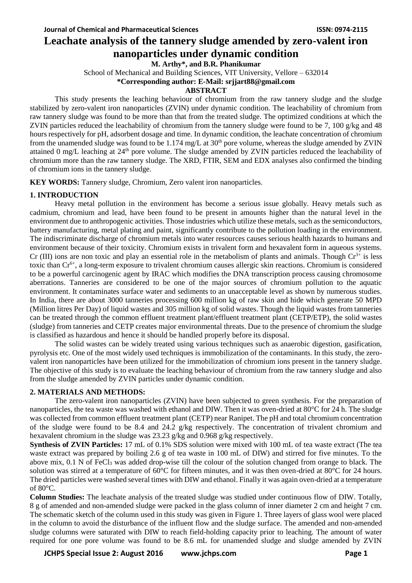# **Leachate analysis of the tannery sludge amended by zero-valent iron nanoparticles under dynamic condition**

**M. Arthy\*, and B.R. Phanikumar**

School of Mechanical and Building Sciences, VIT University, Vellore – 632014

**\*Corresponding author: E-Mail: srjjart88@gmail.com**

# **ABSTRACT**

This study presents the leaching behaviour of chromium from the raw tannery sludge and the sludge stabilized by zero-valent iron nanoparticles (ZVIN) under dynamic condition. The leachability of chromium from raw tannery sludge was found to be more than that from the treated sludge. The optimized conditions at which the ZVIN particles reduced the leachability of chromium from the tannery sludge were found to be 7, 100 g/kg and 48 hours respectively for pH, adsorbent dosage and time. In dynamic condition, the leachate concentration of chromium from the unamended sludge was found to be 1.174 mg/L at  $30<sup>th</sup>$  pore volume, whereas the sludge amended by ZVIN attained 0 mg/L leaching at 24<sup>th</sup> pore volume. The sludge amended by ZVIN particles reduced the leachability of chromium more than the raw tannery sludge. The XRD, FTIR, SEM and EDX analyses also confirmed the binding of chromium ions in the tannery sludge.

**KEY WORDS:** Tannery sludge, Chromium, Zero valent iron nanoparticles.

# **1. INTRODUCTION**

Heavy metal pollution in the environment has become a serious issue globally. Heavy metals such as cadmium, chromium and lead, have been found to be present in amounts higher than the natural level in the environment due to anthropogenic activities. Those industries which utilize these metals, such as the semiconductors, battery manufacturing, metal plating and paint, significantly contribute to the pollution loading in the environment. The indiscriminate discharge of chromium metals into water resources causes serious health hazards to humans and environment because of their toxicity. Chromium exists in trivalent form and hexavalent form in aqueous systems. Cr (III) ions are non toxic and play an essential role in the metabolism of plants and animals. Though  $Cr^{3+}$  is less toxic than Cr<sup>6+</sup>, a long-term exposure to trivalent chromium causes allergic skin reactions. Chromium is considered to be a powerful carcinogenic agent by IRAC which modifies the DNA transcription process causing chromosome aberrations. Tanneries are considered to be one of the major sources of chromium pollution to the aquatic environment. It contaminates surface water and sediments to an unacceptable level as shown by numerous studies. In India, there are about 3000 tanneries processing 600 million kg of raw skin and hide which generate 50 MPD (Million litres Per Day) of liquid wastes and 305 million kg of solid wastes. Though the liquid wastes from tanneries can be treated through the common effluent treatment plant/effluent treatment plant (CETP/ETP), the solid wastes (sludge) from tanneries and CETP creates major environmental threats. Due to the presence of chromium the sludge is classified as hazardous and hence it should be handled properly before its disposal.

The solid wastes can be widely treated using various techniques such as anaerobic digestion, gasification, pyrolysis etc. One of the most widely used techniques is immobilization of the contaminants. In this study, the zerovalent iron nanoparticles have been utilized for the immobilization of chromium ions present in the tannery sludge. The objective of this study is to evaluate the leaching behaviour of chromium from the raw tannery sludge and also from the sludge amended by ZVIN particles under dynamic condition.

# **2. MATERIALS AND METHODS:**

The zero-valent iron nanoparticles (ZVIN) have been subjected to green synthesis. For the preparation of nanoparticles, the tea waste was washed with ethanol and DIW. Then it was oven-dried at 80°C for 24 h. The sludge was collected from common effluent treatment plant (CETP) near Ranipet. The pH and total chromium concentration of the sludge were found to be 8.4 and 24.2  $g/kg$  respectively. The concentration of trivalent chromium and hexavalent chromium in the sludge was 23.23 g/kg and 0.968 g/kg respectively.

**Synthesis of ZVIN Particles:** 17 mL of 0.1% SDS solution were mixed with 100 mL of tea waste extract (The tea waste extract was prepared by boiling 2.6 g of tea waste in 100 mL of DIW) and stirred for five minutes. To the above mix,  $0.1$  N of FeCl<sub>3</sub> was added drop-wise till the colour of the solution changed from orange to black. The solution was stirred at a temperature of 60°C for fifteen minutes, and it was then oven-dried at 80°C for 24 hours. The dried particles were washed several times with DIW and ethanol. Finally it was again oven-dried at a temperature of 80°C.

**Column Studies:** The leachate analysis of the treated sludge was studied under continuous flow of DIW. Totally, 8 g of amended and non-amended sludge were packed in the glass column of inner diameter 2 cm and height 7 cm. The schematic sketch of the column used in this study was given in Figure 1. Three layers of glass wool were placed in the column to avoid the disturbance of the influent flow and the sludge surface. The amended and non-amended sludge columns were saturated with DIW to reach field-holding capacity prior to leaching. The amount of water required for one pore volume was found to be 8.6 mL for unamended sludge and sludge amended by ZVIN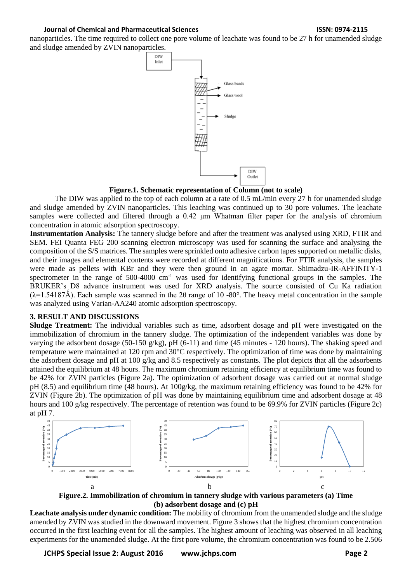### **Journal of Chemical and Pharmaceutical Sciences ISSN: 0974-2115**

nanoparticles. The time required to collect one pore volume of leachate was found to be 27 h for unamended sludge and sludge amended by ZVIN nanoparticles.



**Figure.1. Schematic representation of Column (not to scale)**

The DIW was applied to the top of each column at a rate of 0.5 mL/min every 27 h for unamended sludge and sludge amended by ZVIN nanoparticles. This leaching was continued up to 30 pore volumes. The leachate samples were collected and filtered through a 0.42 μm Whatman filter paper for the analysis of chromium concentration in atomic adsorption spectroscopy.

**Instrumentation Analysis:** The tannery sludge before and after the treatment was analysed using XRD, FTIR and SEM. FEI Quanta FEG 200 scanning electron microscopy was used for scanning the surface and analysing the composition of the S/S matrices. The samples were sprinkled onto adhesive carbon tapes supported on metallic disks, and their images and elemental contents were recorded at different magnifications. For FTIR analysis, the samples were made as pellets with KBr and they were then ground in an agate mortar. Shimadzu-IR-AFFINITY-1 spectrometer in the range of  $500-4000$  cm<sup>-1</sup> was used for identifying functional groups in the samples. The BRUKER's D8 advance instrument was used for XRD analysis. The source consisted of Cu Ka radiation  $(\lambda=1.54187\text{\AA})$ . Each sample was scanned in the 2 $\theta$  range of 10 -80°. The heavy metal concentration in the sample was analyzed using Varian-AA240 atomic adsorption spectroscopy.

# **3. RESULT AND DISCUSSIONS**

**Sludge Treatment:** The individual variables such as time, adsorbent dosage and pH were investigated on the immobilization of chromium in the tannery sludge. The optimization of the independent variables was done by varying the adsorbent dosage (50-150 g/kg), pH (6-11) and time (45 minutes - 120 hours). The shaking speed and temperature were maintained at 120 rpm and 30°C respectively. The optimization of time was done by maintaining the adsorbent dosage and pH at 100 g/kg and 8.5 respectively as constants. The plot depicts that all the adsorbents attained the equilibrium at 48 hours. The maximum chromium retaining efficiency at equilibrium time was found to be 42% for ZVIN particles (Figure 2a). The optimization of adsorbent dosage was carried out at normal sludge pH (8.5) and equilibrium time (48 hours). At 100g/kg, the maximum retaining efficiency was found to be 42% for ZVIN (Figure 2b). The optimization of pH was done by maintaining equilibrium time and adsorbent dosage at 48 hours and 100 g/kg respectively. The percentage of retention was found to be 69.9% for ZVIN particles (Figure 2c) at pH 7.



**Figure.2. Immobilization of chromium in tannery sludge with various parameters (a) Time (b) adsorbent dosage and (c) pH**

**Leachate analysis under dynamic condition:** The mobility of chromium from the unamended sludge and the sludge amended by ZVIN was studied in the downward movement. Figure 3 shows that the highest chromium concentration occurred in the first leaching event for all the samples. The highest amount of leaching was observed in all leaching experiments for the unamended sludge. At the first pore volume, the chromium concentration was found to be 2.506

**JCHPS Special Issue 2: August 2016 www.jchps.com Page 2**